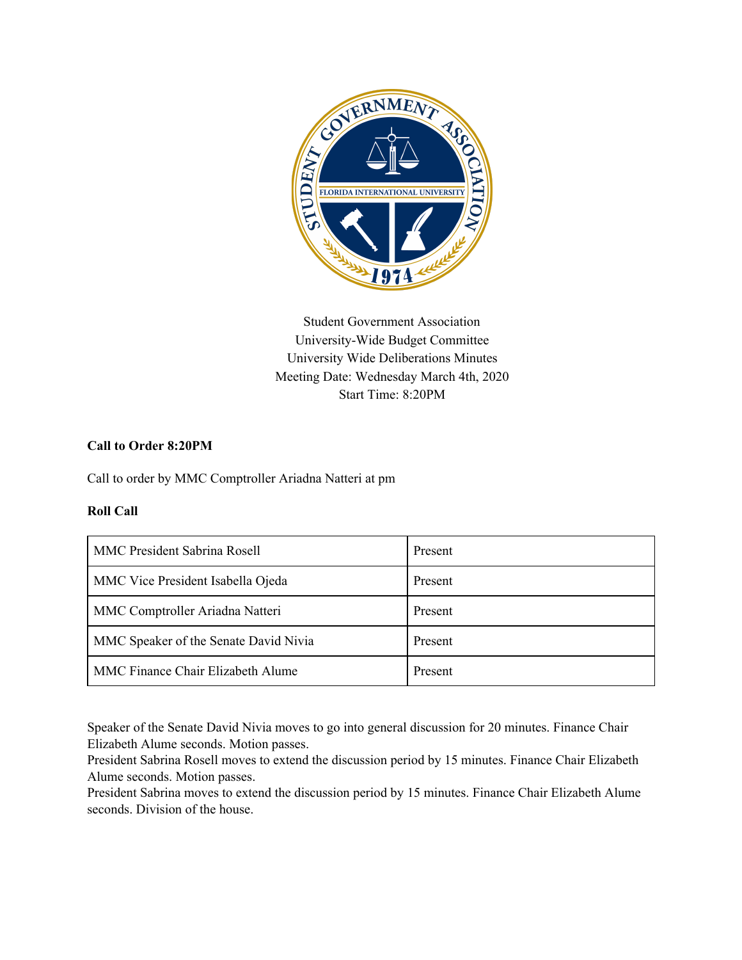

Student Government Association University-Wide Budget Committee University Wide Deliberations Minutes Meeting Date: Wednesday March 4th, 2020 Start Time: 8:20PM

# **Call to Order 8:20PM**

Call to order by MMC Comptroller Ariadna Natteri at pm

# **Roll Call**

| <b>MMC President Sabrina Rosell</b>   | Present |
|---------------------------------------|---------|
| MMC Vice President Isabella Ojeda     | Present |
| MMC Comptroller Ariadna Natteri       | Present |
| MMC Speaker of the Senate David Nivia | Present |
| MMC Finance Chair Elizabeth Alume     | Present |

Speaker of the Senate David Nivia moves to go into general discussion for 20 minutes. Finance Chair Elizabeth Alume seconds. Motion passes.

President Sabrina Rosell moves to extend the discussion period by 15 minutes. Finance Chair Elizabeth Alume seconds. Motion passes.

President Sabrina moves to extend the discussion period by 15 minutes. Finance Chair Elizabeth Alume seconds. Division of the house.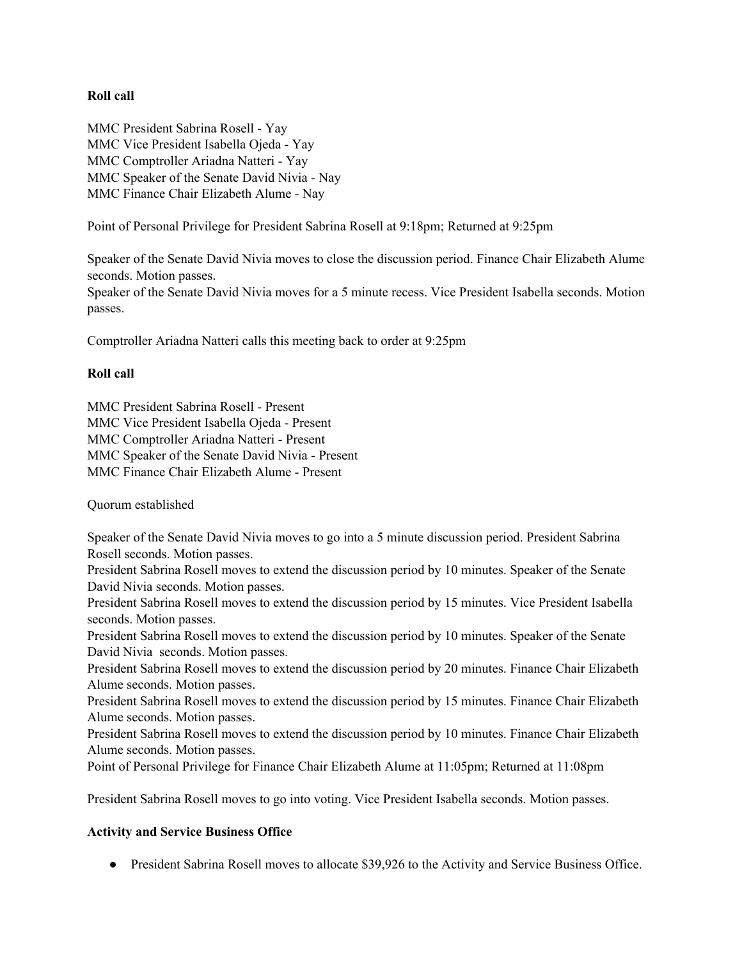### **Roll call**

MMC President Sabrina Rosell - Yay MMC Vice President Isabella Ojeda - Yay MMC Comptroller Ariadna Natteri - Yay MMC Speaker of the Senate David Nivia - Nay MMC Finance Chair Elizabeth Alume - Nay

Point of Personal Privilege for President Sabrina Rosell at 9:18pm; Returned at 9:25pm

Speaker of the Senate David Nivia moves to close the discussion period. Finance Chair Elizabeth Alume seconds. Motion passes.

Speaker of the Senate David Nivia moves for a 5 minute recess. Vice President Isabella seconds. Motion passes.

Comptroller Ariadna Natteri calls this meeting back to order at 9:25pm

### **Roll call**

MMC President Sabrina Rosell - Present MMC Vice President Isabella Ojeda - Present MMC Comptroller Ariadna Natteri - Present MMC Speaker of the Senate David Nivia - Present MMC Finance Chair Elizabeth Alume - Present

Quorum established

Speaker of the Senate David Nivia moves to go into a 5 minute discussion period. President Sabrina Rosell seconds. Motion passes.

President Sabrina Rosell moves to extend the discussion period by 10 minutes. Speaker of the Senate David Nivia seconds. Motion passes.

President Sabrina Rosell moves to extend the discussion period by 15 minutes. Vice President Isabella seconds. Motion passes.

President Sabrina Rosell moves to extend the discussion period by 10 minutes. Speaker of the Senate David Nivia seconds. Motion passes.

President Sabrina Rosell moves to extend the discussion period by 20 minutes. Finance Chair Elizabeth Alume seconds. Motion passes.

President Sabrina Rosell moves to extend the discussion period by 15 minutes. Finance Chair Elizabeth Alume seconds. Motion passes.

President Sabrina Rosell moves to extend the discussion period by 10 minutes. Finance Chair Elizabeth Alume seconds. Motion passes.

Point of Personal Privilege for Finance Chair Elizabeth Alume at 11:05pm; Returned at 11:08pm

President Sabrina Rosell moves to go into voting. Vice President Isabella seconds. Motion passes.

### **Activity and Service Business Office**

• President Sabrina Rosell moves to allocate \$39,926 to the Activity and Service Business Office.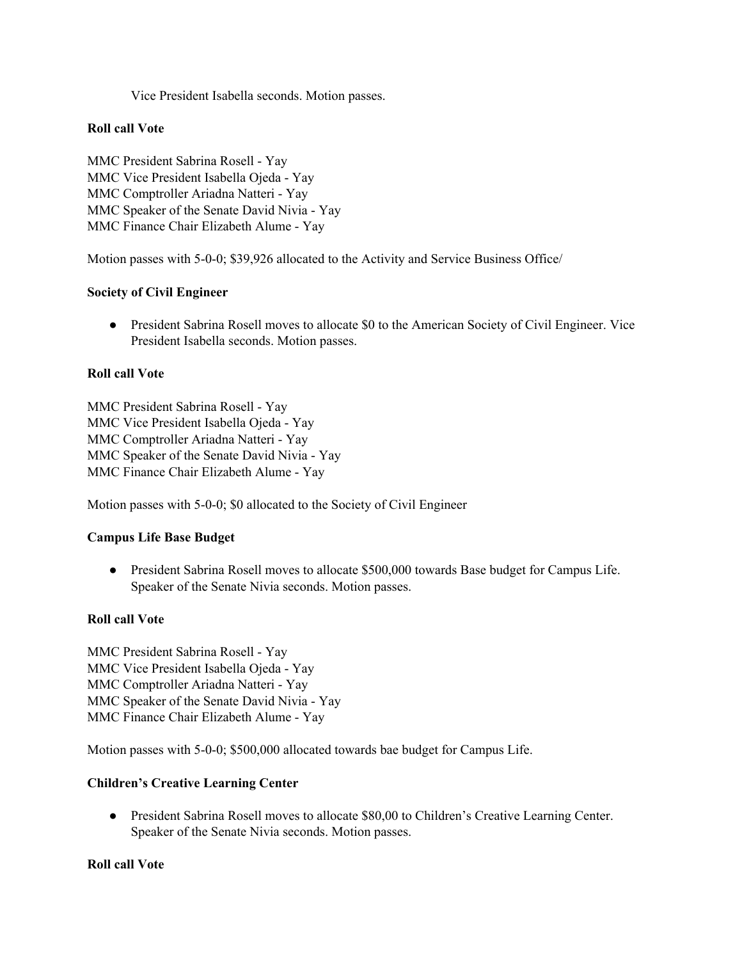Vice President Isabella seconds. Motion passes.

### **Roll call Vote**

MMC President Sabrina Rosell - Yay MMC Vice President Isabella Ojeda - Yay MMC Comptroller Ariadna Natteri - Yay MMC Speaker of the Senate David Nivia - Yay MMC Finance Chair Elizabeth Alume - Yay

Motion passes with 5-0-0; \$39,926 allocated to the Activity and Service Business Office/

### **Society of Civil Engineer**

• President Sabrina Rosell moves to allocate \$0 to the American Society of Civil Engineer. Vice President Isabella seconds. Motion passes.

### **Roll call Vote**

MMC President Sabrina Rosell - Yay MMC Vice President Isabella Ojeda - Yay MMC Comptroller Ariadna Natteri - Yay MMC Speaker of the Senate David Nivia - Yay MMC Finance Chair Elizabeth Alume - Yay

Motion passes with 5-0-0; \$0 allocated to the Society of Civil Engineer

# **Campus Life Base Budget**

● President Sabrina Rosell moves to allocate \$500,000 towards Base budget for Campus Life. Speaker of the Senate Nivia seconds. Motion passes.

### **Roll call Vote**

MMC President Sabrina Rosell - Yay MMC Vice President Isabella Ojeda - Yay MMC Comptroller Ariadna Natteri - Yay MMC Speaker of the Senate David Nivia - Yay MMC Finance Chair Elizabeth Alume - Yay

Motion passes with 5-0-0; \$500,000 allocated towards bae budget for Campus Life.

# **Children's Creative Learning Center**

● President Sabrina Rosell moves to allocate \$80,00 to Children's Creative Learning Center. Speaker of the Senate Nivia seconds. Motion passes.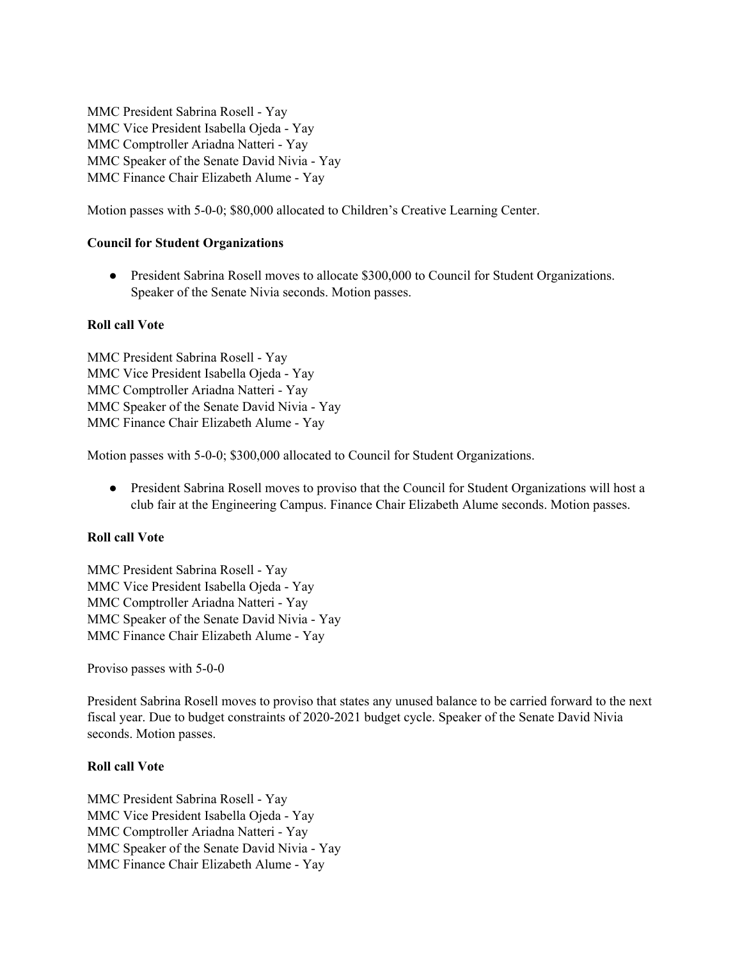MMC President Sabrina Rosell - Yay MMC Vice President Isabella Ojeda - Yay MMC Comptroller Ariadna Natteri - Yay MMC Speaker of the Senate David Nivia - Yay MMC Finance Chair Elizabeth Alume - Yay

Motion passes with 5-0-0; \$80,000 allocated to Children's Creative Learning Center.

### **Council for Student Organizations**

• President Sabrina Rosell moves to allocate \$300,000 to Council for Student Organizations. Speaker of the Senate Nivia seconds. Motion passes.

### **Roll call Vote**

MMC President Sabrina Rosell - Yay MMC Vice President Isabella Ojeda - Yay MMC Comptroller Ariadna Natteri - Yay MMC Speaker of the Senate David Nivia - Yay MMC Finance Chair Elizabeth Alume - Yay

Motion passes with 5-0-0; \$300,000 allocated to Council for Student Organizations.

• President Sabrina Rosell moves to proviso that the Council for Student Organizations will host a club fair at the Engineering Campus. Finance Chair Elizabeth Alume seconds. Motion passes.

# **Roll call Vote**

MMC President Sabrina Rosell - Yay MMC Vice President Isabella Ojeda - Yay MMC Comptroller Ariadna Natteri - Yay MMC Speaker of the Senate David Nivia - Yay MMC Finance Chair Elizabeth Alume - Yay

Proviso passes with 5-0-0

President Sabrina Rosell moves to proviso that states any unused balance to be carried forward to the next fiscal year. Due to budget constraints of 2020-2021 budget cycle. Speaker of the Senate David Nivia seconds. Motion passes.

### **Roll call Vote**

MMC President Sabrina Rosell - Yay MMC Vice President Isabella Ojeda - Yay MMC Comptroller Ariadna Natteri - Yay MMC Speaker of the Senate David Nivia - Yay MMC Finance Chair Elizabeth Alume - Yay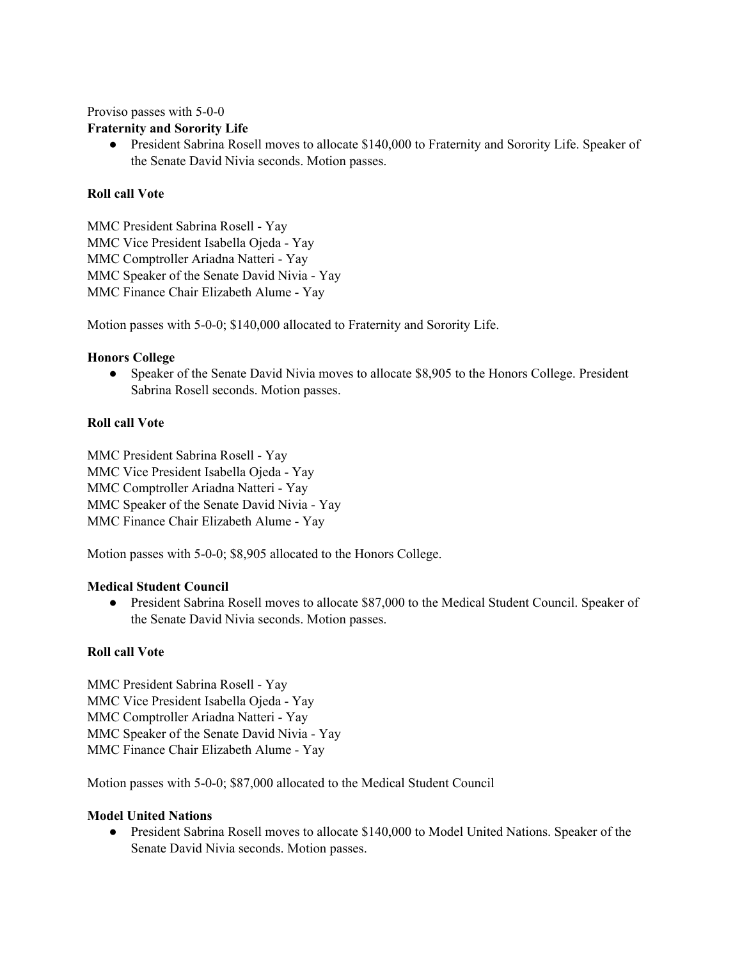Proviso passes with 5-0-0

# **Fraternity and Sorority Life**

• President Sabrina Rosell moves to allocate \$140,000 to Fraternity and Sorority Life. Speaker of the Senate David Nivia seconds. Motion passes.

# **Roll call Vote**

MMC President Sabrina Rosell - Yay MMC Vice President Isabella Ojeda - Yay MMC Comptroller Ariadna Natteri - Yay MMC Speaker of the Senate David Nivia - Yay MMC Finance Chair Elizabeth Alume - Yay

Motion passes with 5-0-0; \$140,000 allocated to Fraternity and Sorority Life.

# **Honors College**

● Speaker of the Senate David Nivia moves to allocate \$8,905 to the Honors College. President Sabrina Rosell seconds. Motion passes.

# **Roll call Vote**

MMC President Sabrina Rosell - Yay MMC Vice President Isabella Ojeda - Yay MMC Comptroller Ariadna Natteri - Yay MMC Speaker of the Senate David Nivia - Yay MMC Finance Chair Elizabeth Alume - Yay

Motion passes with 5-0-0; \$8,905 allocated to the Honors College.

### **Medical Student Council**

● President Sabrina Rosell moves to allocate \$87,000 to the Medical Student Council. Speaker of the Senate David Nivia seconds. Motion passes.

### **Roll call Vote**

MMC President Sabrina Rosell - Yay MMC Vice President Isabella Ojeda - Yay MMC Comptroller Ariadna Natteri - Yay MMC Speaker of the Senate David Nivia - Yay MMC Finance Chair Elizabeth Alume - Yay

Motion passes with 5-0-0; \$87,000 allocated to the Medical Student Council

### **Model United Nations**

• President Sabrina Rosell moves to allocate \$140,000 to Model United Nations. Speaker of the Senate David Nivia seconds. Motion passes.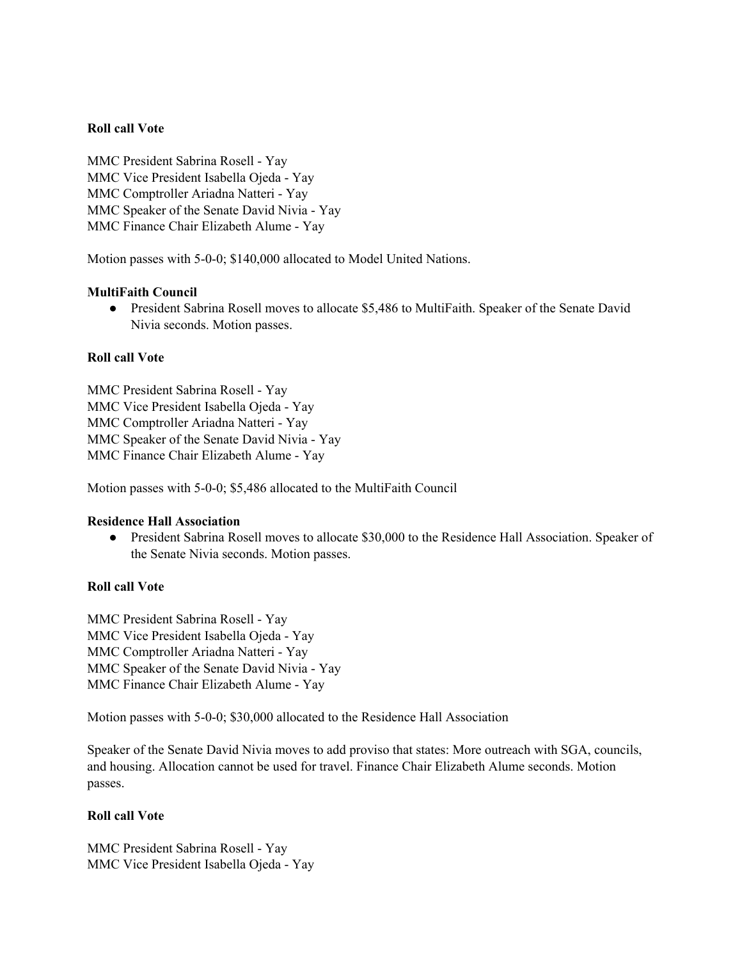### **Roll call Vote**

MMC President Sabrina Rosell - Yay MMC Vice President Isabella Ojeda - Yay MMC Comptroller Ariadna Natteri - Yay MMC Speaker of the Senate David Nivia - Yay MMC Finance Chair Elizabeth Alume - Yay

Motion passes with 5-0-0; \$140,000 allocated to Model United Nations.

### **MultiFaith Council**

• President Sabrina Rosell moves to allocate \$5,486 to MultiFaith. Speaker of the Senate David Nivia seconds. Motion passes.

### **Roll call Vote**

MMC President Sabrina Rosell - Yay MMC Vice President Isabella Ojeda - Yay MMC Comptroller Ariadna Natteri - Yay MMC Speaker of the Senate David Nivia - Yay MMC Finance Chair Elizabeth Alume - Yay

Motion passes with 5-0-0; \$5,486 allocated to the MultiFaith Council

### **Residence Hall Association**

• President Sabrina Rosell moves to allocate \$30,000 to the Residence Hall Association. Speaker of the Senate Nivia seconds. Motion passes.

# **Roll call Vote**

MMC President Sabrina Rosell - Yay MMC Vice President Isabella Ojeda - Yay MMC Comptroller Ariadna Natteri - Yay MMC Speaker of the Senate David Nivia - Yay MMC Finance Chair Elizabeth Alume - Yay

Motion passes with 5-0-0; \$30,000 allocated to the Residence Hall Association

Speaker of the Senate David Nivia moves to add proviso that states: More outreach with SGA, councils, and housing. Allocation cannot be used for travel. Finance Chair Elizabeth Alume seconds. Motion passes.

### **Roll call Vote**

MMC President Sabrina Rosell - Yay MMC Vice President Isabella Ojeda - Yay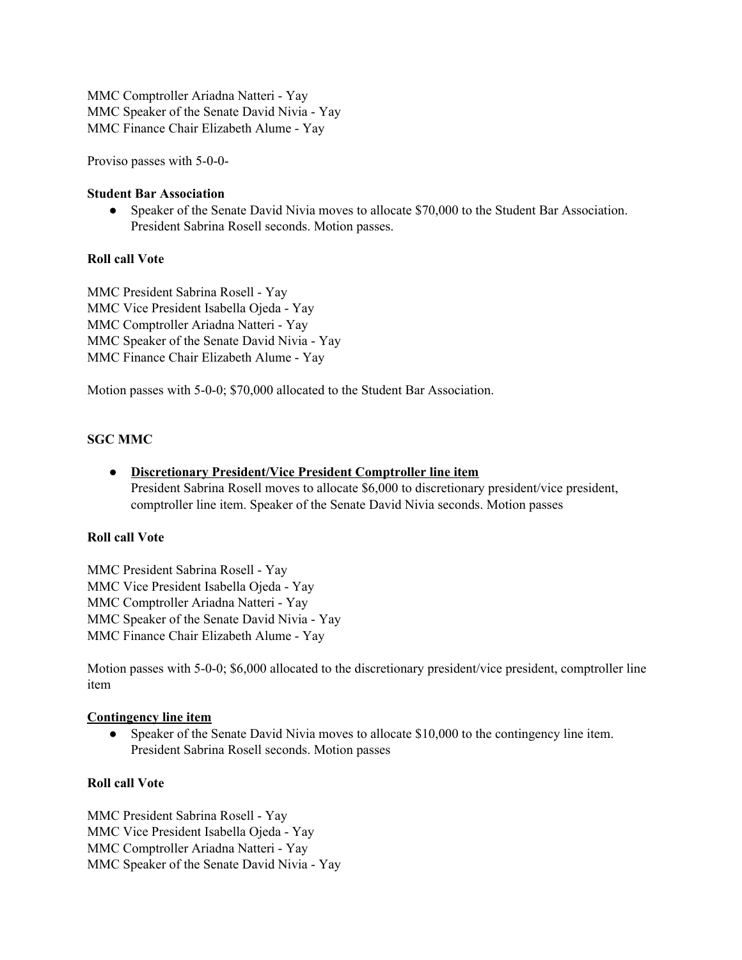MMC Comptroller Ariadna Natteri - Yay MMC Speaker of the Senate David Nivia - Yay MMC Finance Chair Elizabeth Alume - Yay

Proviso passes with 5-0-0-

#### **Student Bar Association**

• Speaker of the Senate David Nivia moves to allocate \$70,000 to the Student Bar Association. President Sabrina Rosell seconds. Motion passes.

### **Roll call Vote**

MMC President Sabrina Rosell - Yay MMC Vice President Isabella Ojeda - Yay MMC Comptroller Ariadna Natteri - Yay MMC Speaker of the Senate David Nivia - Yay MMC Finance Chair Elizabeth Alume - Yay

Motion passes with 5-0-0; \$70,000 allocated to the Student Bar Association.

### **SGC MMC**

● **Discretionary President/Vice President Comptroller line item** President Sabrina Rosell moves to allocate \$6,000 to discretionary president/vice president, comptroller line item. Speaker of the Senate David Nivia seconds. Motion passes

#### **Roll call Vote**

MMC President Sabrina Rosell - Yay MMC Vice President Isabella Ojeda - Yay MMC Comptroller Ariadna Natteri - Yay MMC Speaker of the Senate David Nivia - Yay MMC Finance Chair Elizabeth Alume - Yay

Motion passes with 5-0-0; \$6,000 allocated to the discretionary president/vice president, comptroller line item

#### **Contingency line item**

• Speaker of the Senate David Nivia moves to allocate \$10,000 to the contingency line item. President Sabrina Rosell seconds. Motion passes

### **Roll call Vote**

MMC President Sabrina Rosell - Yay MMC Vice President Isabella Ojeda - Yay MMC Comptroller Ariadna Natteri - Yay MMC Speaker of the Senate David Nivia - Yay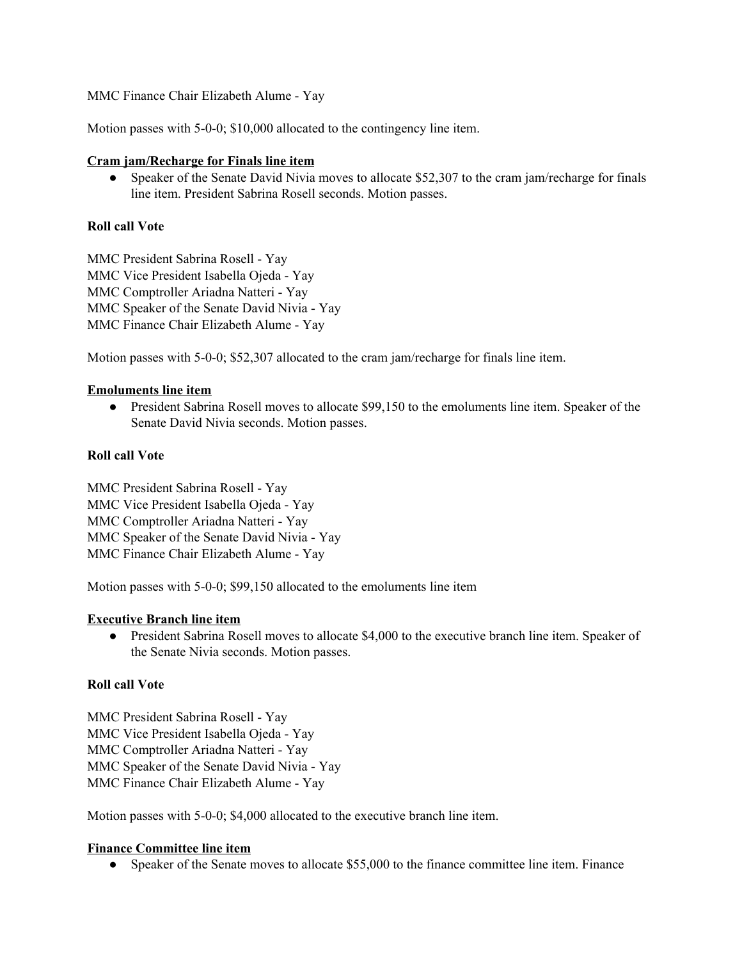MMC Finance Chair Elizabeth Alume - Yay

Motion passes with 5-0-0; \$10,000 allocated to the contingency line item.

### **Cram jam/Recharge for Finals line item**

• Speaker of the Senate David Nivia moves to allocate \$52,307 to the cram jam/recharge for finals line item. President Sabrina Rosell seconds. Motion passes.

# **Roll call Vote**

MMC President Sabrina Rosell - Yay MMC Vice President Isabella Ojeda - Yay MMC Comptroller Ariadna Natteri - Yay MMC Speaker of the Senate David Nivia - Yay MMC Finance Chair Elizabeth Alume - Yay

Motion passes with 5-0-0; \$52,307 allocated to the cram jam/recharge for finals line item.

### **Emoluments line item**

● President Sabrina Rosell moves to allocate \$99,150 to the emoluments line item. Speaker of the Senate David Nivia seconds. Motion passes.

### **Roll call Vote**

MMC President Sabrina Rosell - Yay MMC Vice President Isabella Ojeda - Yay MMC Comptroller Ariadna Natteri - Yay MMC Speaker of the Senate David Nivia - Yay MMC Finance Chair Elizabeth Alume - Yay

Motion passes with 5-0-0; \$99,150 allocated to the emoluments line item

### **Executive Branch line item**

• President Sabrina Rosell moves to allocate \$4,000 to the executive branch line item. Speaker of the Senate Nivia seconds. Motion passes.

# **Roll call Vote**

MMC President Sabrina Rosell - Yay MMC Vice President Isabella Ojeda - Yay MMC Comptroller Ariadna Natteri - Yay MMC Speaker of the Senate David Nivia - Yay MMC Finance Chair Elizabeth Alume - Yay

Motion passes with 5-0-0; \$4,000 allocated to the executive branch line item.

### **Finance Committee line item**

• Speaker of the Senate moves to allocate \$55,000 to the finance committee line item. Finance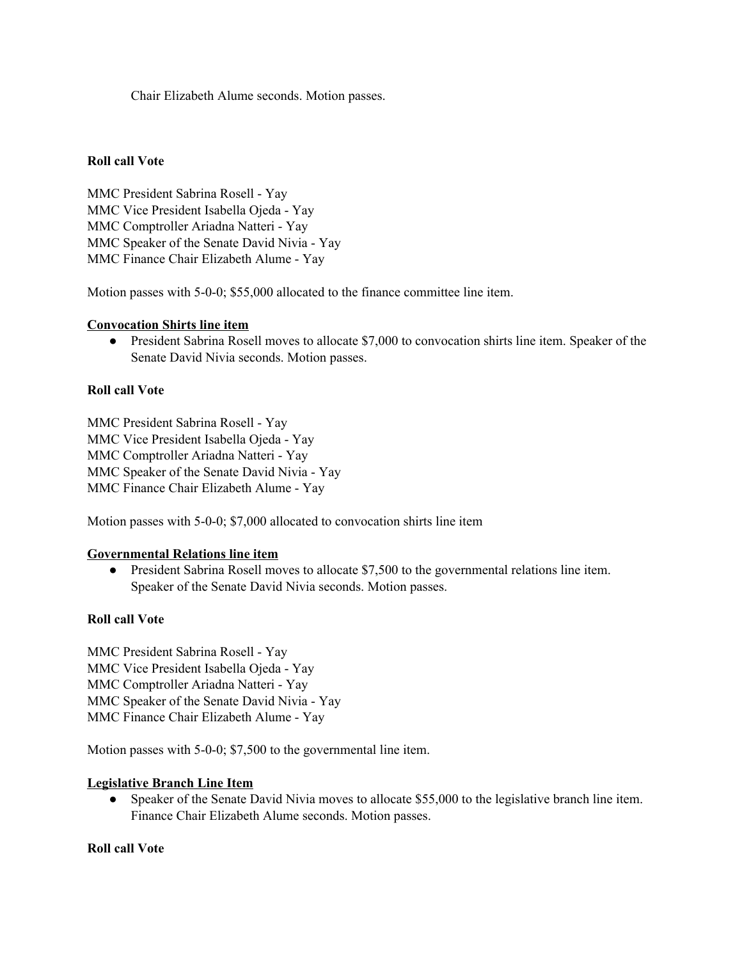Chair Elizabeth Alume seconds. Motion passes.

### **Roll call Vote**

MMC President Sabrina Rosell - Yay MMC Vice President Isabella Ojeda - Yay MMC Comptroller Ariadna Natteri - Yay MMC Speaker of the Senate David Nivia - Yay MMC Finance Chair Elizabeth Alume - Yay

Motion passes with 5-0-0; \$55,000 allocated to the finance committee line item.

#### **Convocation Shirts line item**

● President Sabrina Rosell moves to allocate \$7,000 to convocation shirts line item. Speaker of the Senate David Nivia seconds. Motion passes.

### **Roll call Vote**

MMC President Sabrina Rosell - Yay MMC Vice President Isabella Ojeda - Yay MMC Comptroller Ariadna Natteri - Yay MMC Speaker of the Senate David Nivia - Yay MMC Finance Chair Elizabeth Alume - Yay

Motion passes with 5-0-0; \$7,000 allocated to convocation shirts line item

### **Governmental Relations line item**

● President Sabrina Rosell moves to allocate \$7,500 to the governmental relations line item. Speaker of the Senate David Nivia seconds. Motion passes.

### **Roll call Vote**

MMC President Sabrina Rosell - Yay MMC Vice President Isabella Ojeda - Yay MMC Comptroller Ariadna Natteri - Yay MMC Speaker of the Senate David Nivia - Yay MMC Finance Chair Elizabeth Alume - Yay

Motion passes with 5-0-0; \$7,500 to the governmental line item.

### **Legislative Branch Line Item**

• Speaker of the Senate David Nivia moves to allocate \$55,000 to the legislative branch line item. Finance Chair Elizabeth Alume seconds. Motion passes.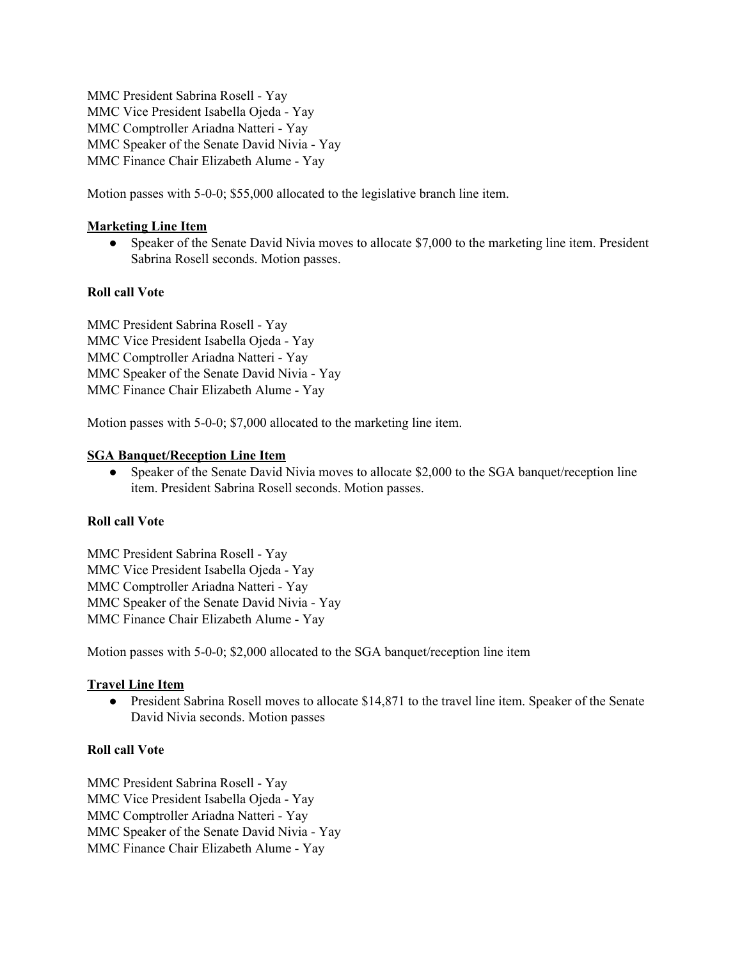MMC President Sabrina Rosell - Yay MMC Vice President Isabella Ojeda - Yay MMC Comptroller Ariadna Natteri - Yay MMC Speaker of the Senate David Nivia - Yay MMC Finance Chair Elizabeth Alume - Yay

Motion passes with 5-0-0; \$55,000 allocated to the legislative branch line item.

# **Marketing Line Item**

• Speaker of the Senate David Nivia moves to allocate \$7,000 to the marketing line item. President Sabrina Rosell seconds. Motion passes.

### **Roll call Vote**

MMC President Sabrina Rosell - Yay MMC Vice President Isabella Ojeda - Yay MMC Comptroller Ariadna Natteri - Yay MMC Speaker of the Senate David Nivia - Yay MMC Finance Chair Elizabeth Alume - Yay

Motion passes with 5-0-0; \$7,000 allocated to the marketing line item.

### **SGA Banquet/Reception Line Item**

• Speaker of the Senate David Nivia moves to allocate \$2,000 to the SGA banquet/reception line item. President Sabrina Rosell seconds. Motion passes.

### **Roll call Vote**

MMC President Sabrina Rosell - Yay MMC Vice President Isabella Ojeda - Yay MMC Comptroller Ariadna Natteri - Yay MMC Speaker of the Senate David Nivia - Yay MMC Finance Chair Elizabeth Alume - Yay

Motion passes with 5-0-0; \$2,000 allocated to the SGA banquet/reception line item

### **Travel Line Item**

• President Sabrina Rosell moves to allocate \$14,871 to the travel line item. Speaker of the Senate David Nivia seconds. Motion passes

### **Roll call Vote**

MMC President Sabrina Rosell - Yay MMC Vice President Isabella Ojeda - Yay MMC Comptroller Ariadna Natteri - Yay MMC Speaker of the Senate David Nivia - Yay MMC Finance Chair Elizabeth Alume - Yay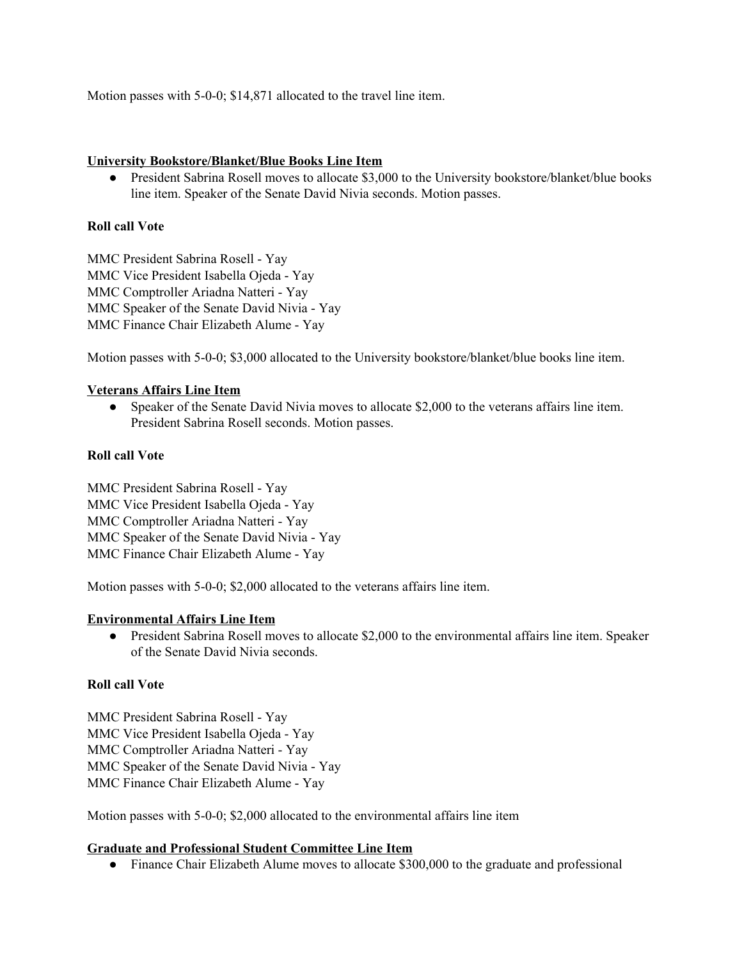Motion passes with 5-0-0; \$14,871 allocated to the travel line item.

### **University Bookstore/Blanket/Blue Books Line Item**

• President Sabrina Rosell moves to allocate \$3,000 to the University bookstore/blanket/blue books line item. Speaker of the Senate David Nivia seconds. Motion passes.

# **Roll call Vote**

MMC President Sabrina Rosell - Yay MMC Vice President Isabella Ojeda - Yay MMC Comptroller Ariadna Natteri - Yay MMC Speaker of the Senate David Nivia - Yay MMC Finance Chair Elizabeth Alume - Yay

Motion passes with 5-0-0; \$3,000 allocated to the University bookstore/blanket/blue books line item.

# **Veterans Affairs Line Item**

● Speaker of the Senate David Nivia moves to allocate \$2,000 to the veterans affairs line item. President Sabrina Rosell seconds. Motion passes.

### **Roll call Vote**

MMC President Sabrina Rosell - Yay MMC Vice President Isabella Ojeda - Yay MMC Comptroller Ariadna Natteri - Yay MMC Speaker of the Senate David Nivia - Yay MMC Finance Chair Elizabeth Alume - Yay

Motion passes with 5-0-0; \$2,000 allocated to the veterans affairs line item.

# **Environmental Affairs Line Item**

● President Sabrina Rosell moves to allocate \$2,000 to the environmental affairs line item. Speaker of the Senate David Nivia seconds.

# **Roll call Vote**

MMC President Sabrina Rosell - Yay MMC Vice President Isabella Ojeda - Yay MMC Comptroller Ariadna Natteri - Yay MMC Speaker of the Senate David Nivia - Yay MMC Finance Chair Elizabeth Alume - Yay

Motion passes with 5-0-0; \$2,000 allocated to the environmental affairs line item

### **Graduate and Professional Student Committee Line Item**

• Finance Chair Elizabeth Alume moves to allocate \$300,000 to the graduate and professional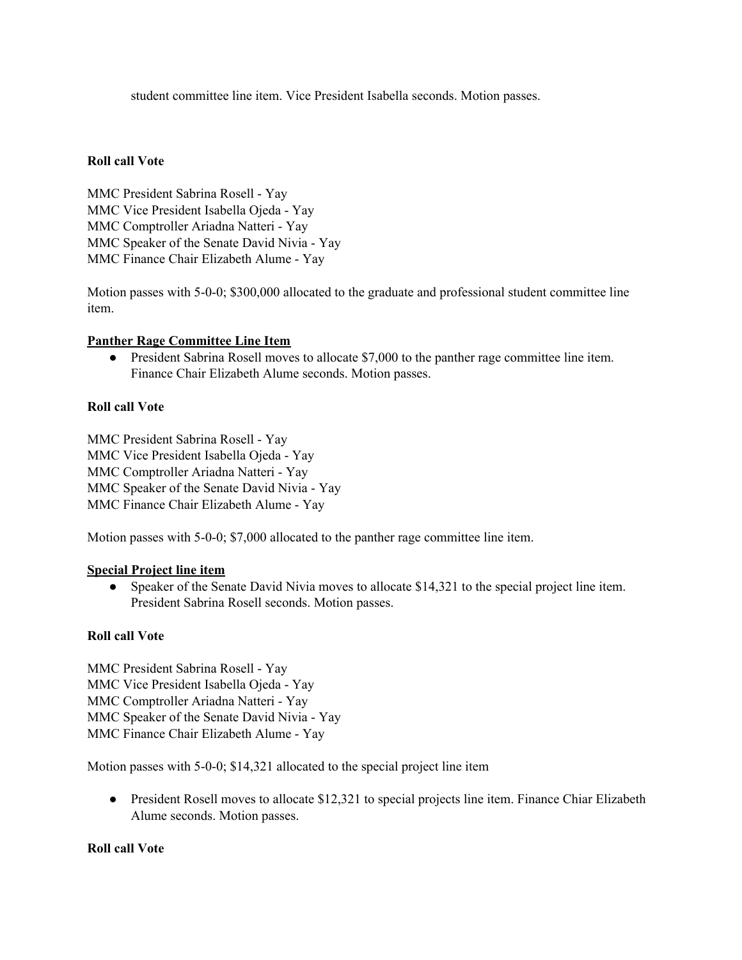student committee line item. Vice President Isabella seconds. Motion passes.

### **Roll call Vote**

MMC President Sabrina Rosell - Yay MMC Vice President Isabella Ojeda - Yay MMC Comptroller Ariadna Natteri - Yay MMC Speaker of the Senate David Nivia - Yay MMC Finance Chair Elizabeth Alume - Yay

Motion passes with 5-0-0; \$300,000 allocated to the graduate and professional student committee line item.

### **Panther Rage Committee Line Item**

● President Sabrina Rosell moves to allocate \$7,000 to the panther rage committee line item. Finance Chair Elizabeth Alume seconds. Motion passes.

# **Roll call Vote**

MMC President Sabrina Rosell - Yay MMC Vice President Isabella Ojeda - Yay MMC Comptroller Ariadna Natteri - Yay MMC Speaker of the Senate David Nivia - Yay MMC Finance Chair Elizabeth Alume - Yay

Motion passes with 5-0-0; \$7,000 allocated to the panther rage committee line item.

### **Special Project line item**

• Speaker of the Senate David Nivia moves to allocate \$14,321 to the special project line item. President Sabrina Rosell seconds. Motion passes.

# **Roll call Vote**

MMC President Sabrina Rosell - Yay MMC Vice President Isabella Ojeda - Yay MMC Comptroller Ariadna Natteri - Yay MMC Speaker of the Senate David Nivia - Yay MMC Finance Chair Elizabeth Alume - Yay

Motion passes with 5-0-0; \$14,321 allocated to the special project line item

• President Rosell moves to allocate \$12,321 to special projects line item. Finance Chiar Elizabeth Alume seconds. Motion passes.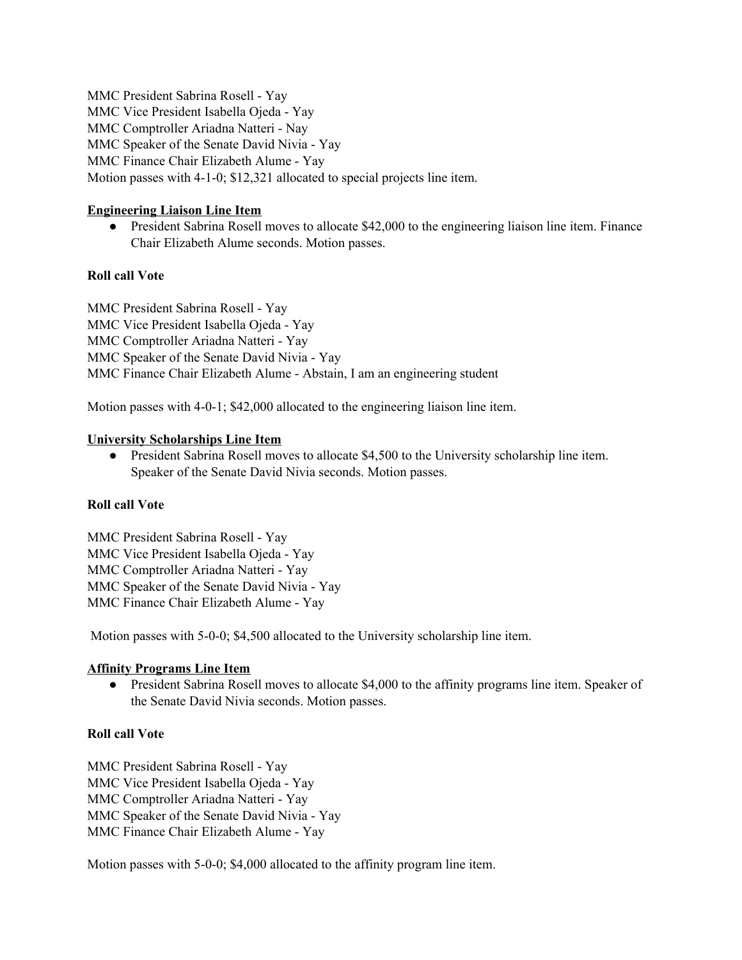MMC President Sabrina Rosell - Yay MMC Vice President Isabella Ojeda - Yay MMC Comptroller Ariadna Natteri - Nay MMC Speaker of the Senate David Nivia - Yay MMC Finance Chair Elizabeth Alume - Yay Motion passes with 4-1-0; \$12,321 allocated to special projects line item.

### **Engineering Liaison Line Item**

● President Sabrina Rosell moves to allocate \$42,000 to the engineering liaison line item. Finance Chair Elizabeth Alume seconds. Motion passes.

### **Roll call Vote**

MMC President Sabrina Rosell - Yay MMC Vice President Isabella Ojeda - Yay MMC Comptroller Ariadna Natteri - Yay MMC Speaker of the Senate David Nivia - Yay MMC Finance Chair Elizabeth Alume - Abstain, I am an engineering student

Motion passes with 4-0-1; \$42,000 allocated to the engineering liaison line item.

### **University Scholarships Line Item**

● President Sabrina Rosell moves to allocate \$4,500 to the University scholarship line item. Speaker of the Senate David Nivia seconds. Motion passes.

### **Roll call Vote**

MMC President Sabrina Rosell - Yay MMC Vice President Isabella Ojeda - Yay MMC Comptroller Ariadna Natteri - Yay MMC Speaker of the Senate David Nivia - Yay MMC Finance Chair Elizabeth Alume - Yay

Motion passes with 5-0-0; \$4,500 allocated to the University scholarship line item.

### **Affinity Programs Line Item**

• President Sabrina Rosell moves to allocate \$4,000 to the affinity programs line item. Speaker of the Senate David Nivia seconds. Motion passes.

### **Roll call Vote**

MMC President Sabrina Rosell - Yay MMC Vice President Isabella Ojeda - Yay MMC Comptroller Ariadna Natteri - Yay MMC Speaker of the Senate David Nivia - Yay MMC Finance Chair Elizabeth Alume - Yay

Motion passes with 5-0-0; \$4,000 allocated to the affinity program line item.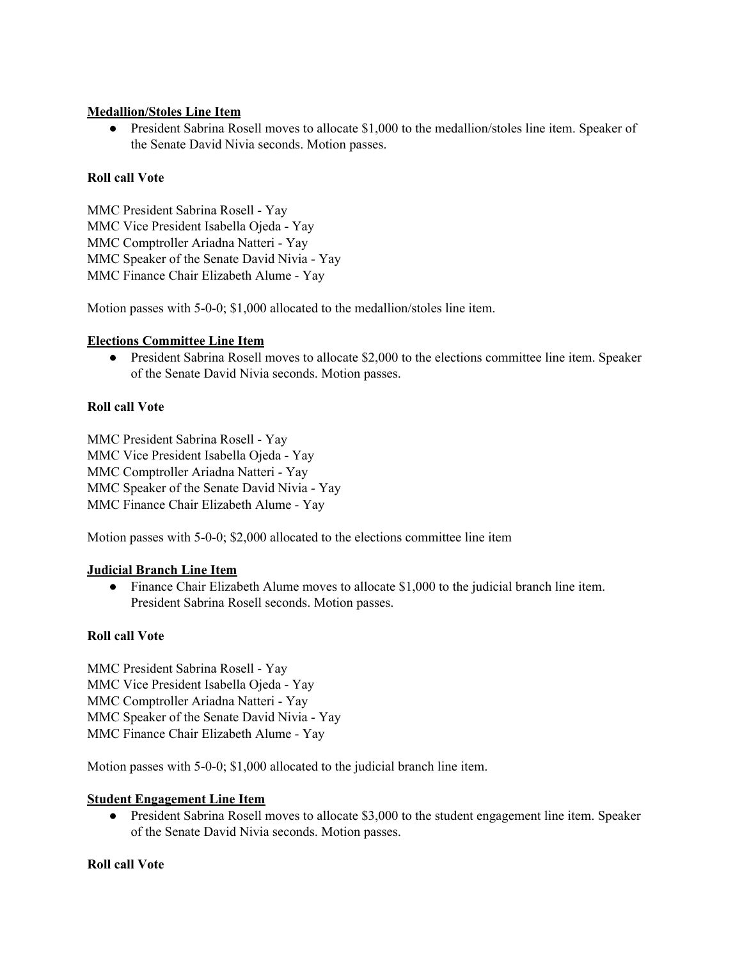### **Medallion/Stoles Line Item**

● President Sabrina Rosell moves to allocate \$1,000 to the medallion/stoles line item. Speaker of the Senate David Nivia seconds. Motion passes.

# **Roll call Vote**

MMC President Sabrina Rosell - Yay MMC Vice President Isabella Ojeda - Yay MMC Comptroller Ariadna Natteri - Yay MMC Speaker of the Senate David Nivia - Yay MMC Finance Chair Elizabeth Alume - Yay

Motion passes with 5-0-0; \$1,000 allocated to the medallion/stoles line item.

### **Elections Committee Line Item**

• President Sabrina Rosell moves to allocate \$2,000 to the elections committee line item. Speaker of the Senate David Nivia seconds. Motion passes.

# **Roll call Vote**

MMC President Sabrina Rosell - Yay MMC Vice President Isabella Ojeda - Yay MMC Comptroller Ariadna Natteri - Yay MMC Speaker of the Senate David Nivia - Yay MMC Finance Chair Elizabeth Alume - Yay

Motion passes with 5-0-0; \$2,000 allocated to the elections committee line item

# **Judicial Branch Line Item**

● Finance Chair Elizabeth Alume moves to allocate \$1,000 to the judicial branch line item. President Sabrina Rosell seconds. Motion passes.

# **Roll call Vote**

MMC President Sabrina Rosell - Yay MMC Vice President Isabella Ojeda - Yay MMC Comptroller Ariadna Natteri - Yay MMC Speaker of the Senate David Nivia - Yay MMC Finance Chair Elizabeth Alume - Yay

Motion passes with 5-0-0; \$1,000 allocated to the judicial branch line item.

### **Student Engagement Line Item**

• President Sabrina Rosell moves to allocate \$3,000 to the student engagement line item. Speaker of the Senate David Nivia seconds. Motion passes.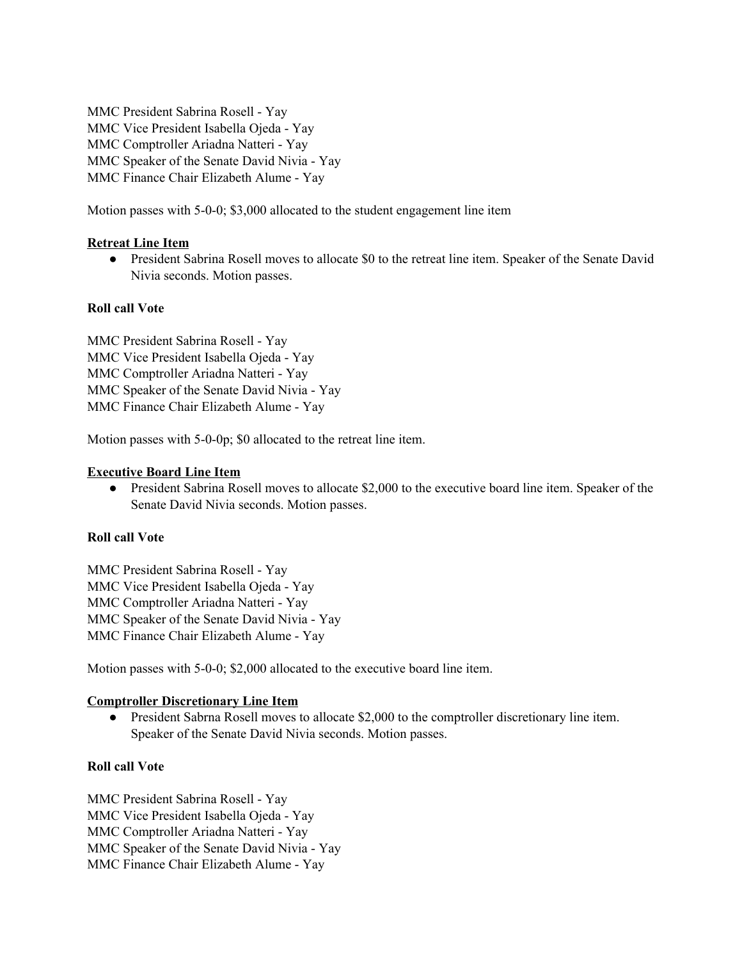MMC President Sabrina Rosell - Yay MMC Vice President Isabella Ojeda - Yay MMC Comptroller Ariadna Natteri - Yay MMC Speaker of the Senate David Nivia - Yay MMC Finance Chair Elizabeth Alume - Yay

Motion passes with 5-0-0; \$3,000 allocated to the student engagement line item

### **Retreat Line Item**

● President Sabrina Rosell moves to allocate \$0 to the retreat line item. Speaker of the Senate David Nivia seconds. Motion passes.

### **Roll call Vote**

MMC President Sabrina Rosell - Yay MMC Vice President Isabella Ojeda - Yay MMC Comptroller Ariadna Natteri - Yay MMC Speaker of the Senate David Nivia - Yay MMC Finance Chair Elizabeth Alume - Yay

Motion passes with 5-0-0p; \$0 allocated to the retreat line item.

### **Executive Board Line Item**

• President Sabrina Rosell moves to allocate \$2,000 to the executive board line item. Speaker of the Senate David Nivia seconds. Motion passes.

### **Roll call Vote**

MMC President Sabrina Rosell - Yay MMC Vice President Isabella Ojeda - Yay MMC Comptroller Ariadna Natteri - Yay MMC Speaker of the Senate David Nivia - Yay MMC Finance Chair Elizabeth Alume - Yay

Motion passes with 5-0-0; \$2,000 allocated to the executive board line item.

### **Comptroller Discretionary Line Item**

● President Sabrna Rosell moves to allocate \$2,000 to the comptroller discretionary line item. Speaker of the Senate David Nivia seconds. Motion passes.

### **Roll call Vote**

MMC President Sabrina Rosell - Yay MMC Vice President Isabella Ojeda - Yay MMC Comptroller Ariadna Natteri - Yay MMC Speaker of the Senate David Nivia - Yay MMC Finance Chair Elizabeth Alume - Yay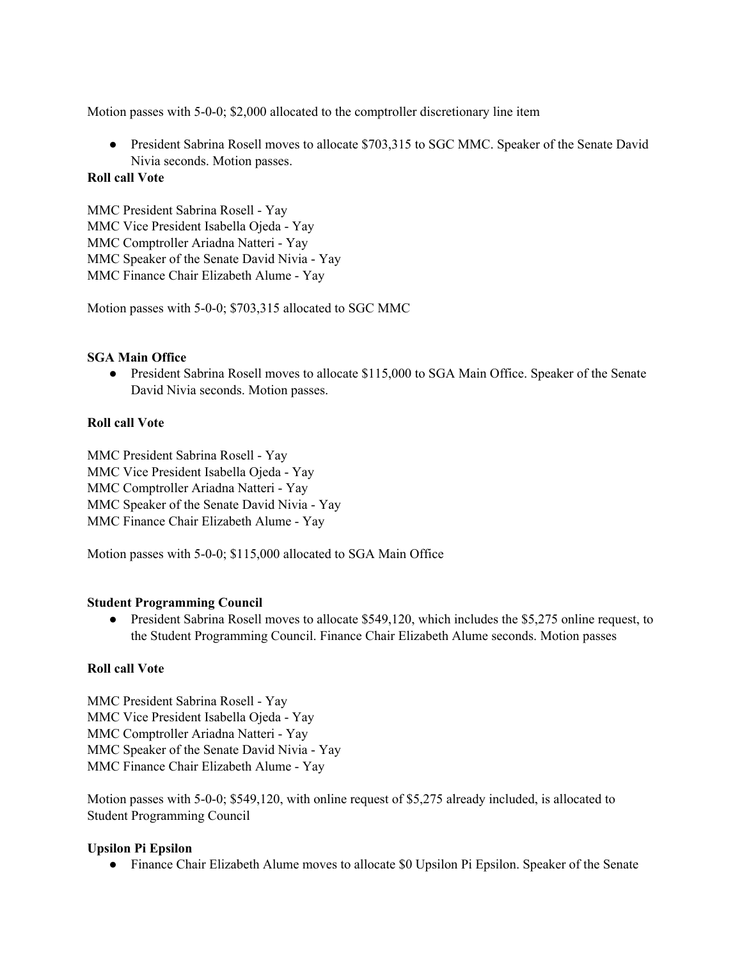Motion passes with 5-0-0; \$2,000 allocated to the comptroller discretionary line item

• President Sabrina Rosell moves to allocate \$703,315 to SGC MMC. Speaker of the Senate David Nivia seconds. Motion passes.

### **Roll call Vote**

MMC President Sabrina Rosell - Yay MMC Vice President Isabella Ojeda - Yay MMC Comptroller Ariadna Natteri - Yay MMC Speaker of the Senate David Nivia - Yay MMC Finance Chair Elizabeth Alume - Yay

Motion passes with 5-0-0; \$703,315 allocated to SGC MMC

# **SGA Main Office**

• President Sabrina Rosell moves to allocate \$115,000 to SGA Main Office. Speaker of the Senate David Nivia seconds. Motion passes.

### **Roll call Vote**

MMC President Sabrina Rosell - Yay MMC Vice President Isabella Ojeda - Yay MMC Comptroller Ariadna Natteri - Yay MMC Speaker of the Senate David Nivia - Yay MMC Finance Chair Elizabeth Alume - Yay

Motion passes with 5-0-0; \$115,000 allocated to SGA Main Office

### **Student Programming Council**

• President Sabrina Rosell moves to allocate \$549,120, which includes the \$5,275 online request, to the Student Programming Council. Finance Chair Elizabeth Alume seconds. Motion passes

# **Roll call Vote**

MMC President Sabrina Rosell - Yay MMC Vice President Isabella Ojeda - Yay MMC Comptroller Ariadna Natteri - Yay MMC Speaker of the Senate David Nivia - Yay MMC Finance Chair Elizabeth Alume - Yay

Motion passes with 5-0-0; \$549,120, with online request of \$5,275 already included, is allocated to Student Programming Council

### **Upsilon Pi Epsilon**

• Finance Chair Elizabeth Alume moves to allocate \$0 Upsilon Pi Epsilon. Speaker of the Senate